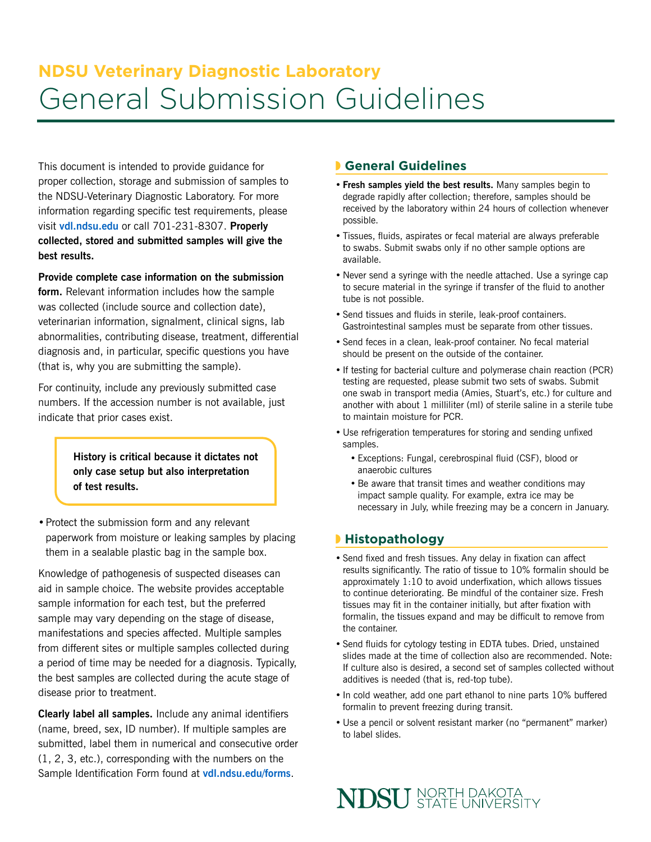# **NDSU Veterinary Diagnostic Laboratory**  General Submission Guidelines

This document is intended to provide guidance for proper collection, storage and submission of samples to the NDSU-Veterinary Diagnostic Laboratory. For more information regarding specific test requirements, please visit **[vdl.ndsu.edu](http://www.vdl.ndsu.edu)** or call 701-231-8307. **Properly collected, stored and submitted samples will give the best results.**

**Provide complete case information on the submission form.** Relevant information includes how the sample was collected (include source and collection date), veterinarian information, signalment, clinical signs, lab abnormalities, contributing disease, treatment, differential diagnosis and, in particular, specific questions you have (that is, why you are submitting the sample).

For continuity, include any previously submitted case numbers. If the accession number is not available, just indicate that prior cases exist.

> **History is critical because it dictates not only case setup but also interpretation of test results.**

•Protect the submission form and any relevant paperwork from moisture or leaking samples by placing them in a sealable plastic bag in the sample box.

Knowledge of pathogenesis of suspected diseases can aid in sample choice. The website provides acceptable sample information for each test, but the preferred sample may vary depending on the stage of disease, manifestations and species affected. Multiple samples from different sites or multiple samples collected during a period of time may be needed for a diagnosis. Typically, the best samples are collected during the acute stage of disease prior to treatment.

**Clearly label all samples.** Include any animal identifiers (name, breed, sex, ID number). If multiple samples are submitted, label them in numerical and consecutive order (1, 2, 3, etc.), corresponding with the numbers on the Sample Identification Form found at **[vdl.ndsu.edu/forms](http://www.vdl.ndsu.edu/forms)**.

## ◗ **General Guidelines**

- **• Fresh samples yield the best results.** Many samples begin to degrade rapidly after collection; therefore, samples should be received by the laboratory within 24 hours of collection whenever possible.
- Tissues, fluids, aspirates or fecal material are always preferable to swabs. Submit swabs only if no other sample options are available.
- Never send a syringe with the needle attached. Use a syringe cap to secure material in the syringe if transfer of the fluid to another tube is not possible.
- Send tissues and fluids in sterile, leak-proof containers. Gastrointestinal samples must be separate from other tissues.
- Send feces in a clean, leak-proof container. No fecal material should be present on the outside of the container.
- If testing for bacterial culture and polymerase chain reaction (PCR) testing are requested, please submit two sets of swabs. Submit one swab in transport media (Amies, Stuart's, etc.) for culture and another with about 1 milliliter (ml) of sterile saline in a sterile tube to maintain moisture for PCR.
- Use refrigeration temperatures for storing and sending unfixed samples.
	- Exceptions: Fungal, cerebrospinal fluid (CSF), blood or anaerobic cultures
	- Be aware that transit times and weather conditions may impact sample quality. For example, extra ice may be necessary in July, while freezing may be a concern in January.

## ◗ **Histopathology**

- Send fixed and fresh tissues. Any delay in fixation can affect results significantly. The ratio of tissue to 10% formalin should be approximately 1:10 to avoid underfixation, which allows tissues to continue deteriorating. Be mindful of the container size. Fresh tissues may fit in the container initially, but after fixation with formalin, the tissues expand and may be difficult to remove from the container.
- Send fluids for cytology testing in EDTA tubes. Dried, unstained slides made at the time of collection also are recommended. Note: If culture also is desired, a second set of samples collected without additives is needed (that is, red-top tube).
- In cold weather, add one part ethanol to nine parts 10% buffered formalin to prevent freezing during transit.
- Use a pencil or solvent resistant marker (no "permanent" marker) to label slides.

**NDSU** STATE UNIVERSITY